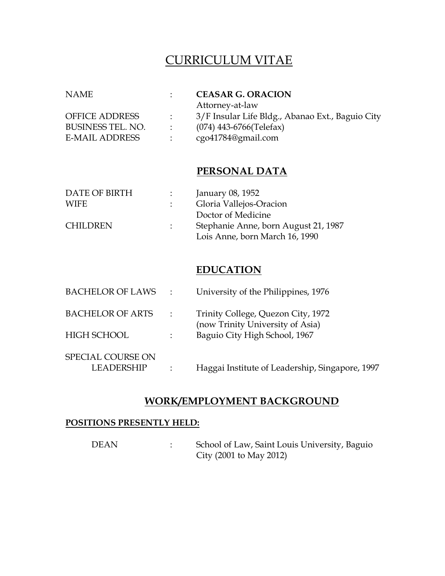# CURRICULUM VITAE

| <b>NAME</b>              |               | <b>CEASAR G. ORACION</b>                         |
|--------------------------|---------------|--------------------------------------------------|
|                          |               | Attorney-at-law                                  |
| <b>OFFICE ADDRESS</b>    | $\mathcal{L}$ | 3/F Insular Life Bldg., Abanao Ext., Baguio City |
| <b>BUSINESS TEL. NO.</b> | $\sim$        | $(074)$ 443-6766(Telefax)                        |
| <b>E-MAIL ADDRESS</b>    |               | cgo41784@gmail.com                               |
|                          |               |                                                  |

# **PERSONAL DATA**

| DATE OF BIRTH   | $\mathcal{L}$ | January 08, 1952                     |
|-----------------|---------------|--------------------------------------|
| WIFE            |               | Gloria Vallejos-Oracion              |
|                 |               | Doctor of Medicine                   |
| <b>CHILDREN</b> | $1 - 1$       | Stephanie Anne, born August 21, 1987 |
|                 |               | Lois Anne, born March 16, 1990       |

# **EDUCATION**

| <b>BACHELOR OF LAWS</b>                | $\mathcal{L} = \mathcal{L} \mathcal{L}$ | University of the Philippines, 1976                                    |
|----------------------------------------|-----------------------------------------|------------------------------------------------------------------------|
| <b>BACHELOR OF ARTS</b>                | $\sim 1000$                             | Trinity College, Quezon City, 1972<br>(now Trinity University of Asia) |
| HIGH SCHOOL                            | $\mathcal{L}$                           | Baguio City High School, 1967                                          |
| SPECIAL COURSE ON<br><b>LEADERSHIP</b> |                                         | Haggai Institute of Leadership, Singapore, 1997                        |

### **WORK/EMPLOYMENT BACKGROUND**

#### **POSITIONS PRESENTLY HELD:**

DEAN : School of Law, Saint Louis University, Baguio City (2001 to May 2012)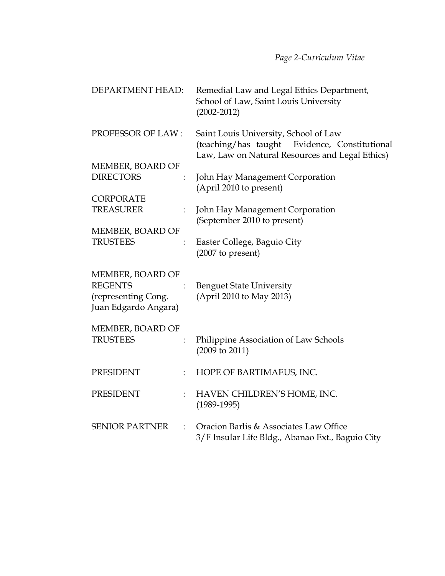| DEPARTMENT HEAD:                                                                  |                           | Remedial Law and Legal Ethics Department,<br>School of Law, Saint Louis University<br>$(2002 - 2012)$                                     |
|-----------------------------------------------------------------------------------|---------------------------|-------------------------------------------------------------------------------------------------------------------------------------------|
| PROFESSOR OF LAW:                                                                 |                           | Saint Louis University, School of Law<br>(teaching/has taught Evidence, Constitutional<br>Law, Law on Natural Resources and Legal Ethics) |
| MEMBER, BOARD OF                                                                  |                           |                                                                                                                                           |
| <b>DIRECTORS</b>                                                                  | $\ddot{\phantom{0}}$      | John Hay Management Corporation<br>(April 2010 to present)                                                                                |
| <b>CORPORATE</b>                                                                  |                           |                                                                                                                                           |
| <b>TREASURER</b>                                                                  | $\mathbb{Z}^{\mathbb{Z}}$ | John Hay Management Corporation<br>(September 2010 to present)                                                                            |
| MEMBER, BOARD OF                                                                  |                           |                                                                                                                                           |
| <b>TRUSTEES</b>                                                                   | ÷                         | Easter College, Baguio City<br>(2007 to present)                                                                                          |
| MEMBER, BOARD OF<br><b>REGENTS</b><br>(representing Cong.<br>Juan Edgardo Angara) |                           | <b>Benguet State University</b><br>(April 2010 to May 2013)                                                                               |
| MEMBER, BOARD OF                                                                  |                           |                                                                                                                                           |
| <b>TRUSTEES</b>                                                                   | $\mathbb{Z}^{\mathbb{Z}}$ | Philippine Association of Law Schools<br>$(2009 \text{ to } 2011)$                                                                        |
| <b>PRESIDENT</b>                                                                  | $\ddot{\phantom{a}}$      | HOPE OF BARTIMAEUS, INC.                                                                                                                  |
| <b>PRESIDENT</b>                                                                  | $\mathbb{R}^{\mathbb{Z}}$ | HAVEN CHILDREN'S HOME, INC.<br>$(1989-1995)$                                                                                              |
| <b>SENIOR PARTNER</b>                                                             | ÷                         | Oracion Barlis & Associates Law Office<br>3/F Insular Life Bldg., Abanao Ext., Baguio City                                                |